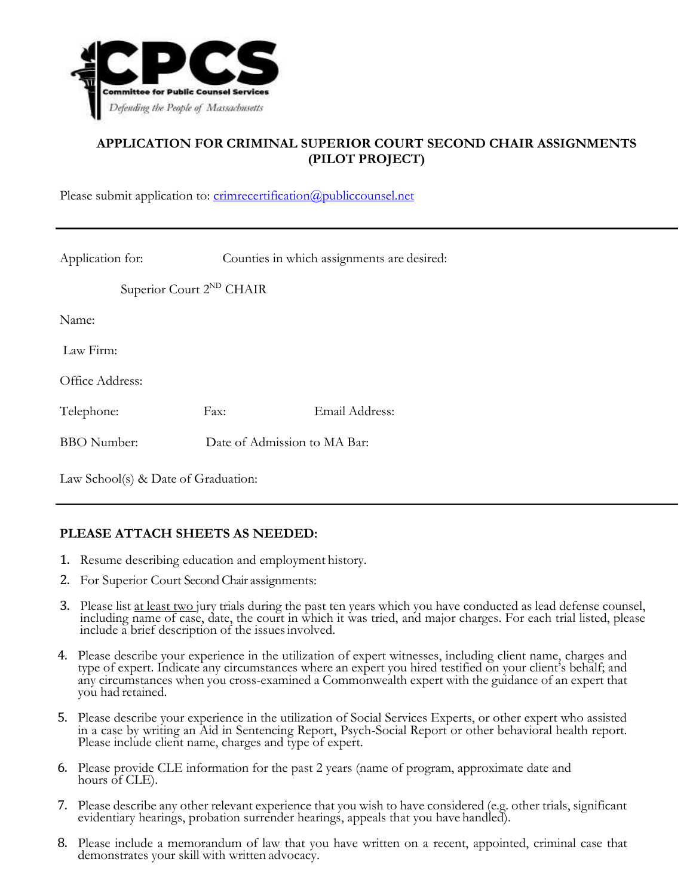

## **APPLICATION FOR CRIMINAL SUPERIOR COURT SECOND CHAIR ASSIGNMENTS (PILOT PROJECT)**

Please submit application to: [crimrecertification@publiccounsel.net](mailto:crimrecertification@publiccounsel.net)

| Application for:                     |                              | Counties in which assignments are desired: |
|--------------------------------------|------------------------------|--------------------------------------------|
| Superior Court 2 <sup>ND</sup> CHAIR |                              |                                            |
| Name:                                |                              |                                            |
| Law Firm:                            |                              |                                            |
| Office Address:                      |                              |                                            |
| Telephone:                           | Fax:                         | Email Address:                             |
| <b>BBO</b> Number:                   | Date of Admission to MA Bar: |                                            |
|                                      |                              |                                            |

Law School(s) & Date of Graduation:

## **PLEASE ATTACH SHEETS AS NEEDED:**

- 1. Resume describing education and employment history.
- 2. For Superior Court Second Chair assignments:
- 3. Please list at least two jury trials during the past ten years which you have conducted as lead defense counsel, including name of case, date, the court in which it was tried, and major charges. For each trial listed, please include a brief description of the issuesinvolved.
- 4. Please describe your experience in the utilization of expert witnesses, including client name, charges and type of expert. Indicate any circumstances where an expert you hired testified on your client's behalf; and any circumstances when you cross-examined a Commonwealth expert with the guidance of an expert that you had retained.
- 5. Please describe your experience in the utilization of Social Services Experts, or other expert who assisted in a case by writing an Aid in Sentencing Report, Psych-Social Report or other behavioral health report. Please include client name, charges and type of expert.
- 6. Please provide CLE information for the past 2 years (name of program, approximate date and hours of CLE).
- 7. Please describe any other relevant experience that you wish to have considered (e.g. other trials, significant evidentiary hearings, probation surrender hearings, appeals that you have handled).
- 8. Please include a memorandum of law that you have written on a recent, appointed, criminal case that demonstrates your skill with written advocacy.